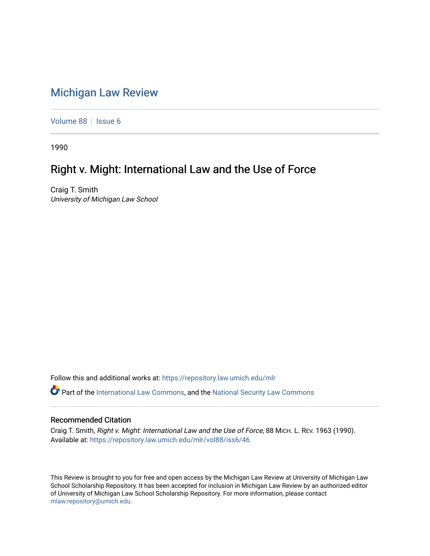## [Michigan Law Review](https://repository.law.umich.edu/mlr)

[Volume 88](https://repository.law.umich.edu/mlr/vol88) | [Issue 6](https://repository.law.umich.edu/mlr/vol88/iss6)

1990

## Right v. Might: International Law and the Use of Force

Craig T. Smith University of Michigan Law School

Follow this and additional works at: [https://repository.law.umich.edu/mlr](https://repository.law.umich.edu/mlr?utm_source=repository.law.umich.edu%2Fmlr%2Fvol88%2Fiss6%2F46&utm_medium=PDF&utm_campaign=PDFCoverPages) 

Part of the [International Law Commons,](http://network.bepress.com/hgg/discipline/609?utm_source=repository.law.umich.edu%2Fmlr%2Fvol88%2Fiss6%2F46&utm_medium=PDF&utm_campaign=PDFCoverPages) and the [National Security Law Commons](http://network.bepress.com/hgg/discipline/1114?utm_source=repository.law.umich.edu%2Fmlr%2Fvol88%2Fiss6%2F46&utm_medium=PDF&utm_campaign=PDFCoverPages) 

## Recommended Citation

Craig T. Smith, Right v. Might: International Law and the Use of Force, 88 MICH. L. REV. 1963 (1990). Available at: [https://repository.law.umich.edu/mlr/vol88/iss6/46](https://repository.law.umich.edu/mlr/vol88/iss6/46?utm_source=repository.law.umich.edu%2Fmlr%2Fvol88%2Fiss6%2F46&utm_medium=PDF&utm_campaign=PDFCoverPages) 

This Review is brought to you for free and open access by the Michigan Law Review at University of Michigan Law School Scholarship Repository. It has been accepted for inclusion in Michigan Law Review by an authorized editor of University of Michigan Law School Scholarship Repository. For more information, please contact [mlaw.repository@umich.edu.](mailto:mlaw.repository@umich.edu)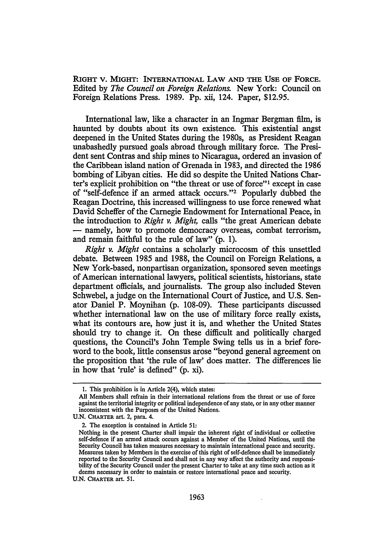RIGHT V. MIGHT: INTERNATIONAL LAW AND THE USE OF FORCE. Edited by *The Council on Foreign Relations.* New York: Council on Foreign Relations Press. 1989. Pp. xii, 124. Paper, \$12.95.

International law, like a character in an Ingmar Bergman film, is haunted by doubts about its own existence. This existential angst deepened in the United States during the 1980s, as President Reagan unabashedly pursued goals abroad through military force. The President sent Contras and ship mines to Nicaragua, ordered an invasion of the Caribbean island nation of Grenada in 1983, and directed the 1986 bombing of Libyan cities. He did so despite the United Nations Charter's explicit prohibition on "the threat or use of force"<sup>1</sup> except in case of "self-defence if an armed attack occurs."2 Popularly dubbed the Reagan Doctrine, this increased willingness to use force renewed what David Scheffer of the Carnegie Endowment for International Peace, in the introduction to *Right v. Might,* calls "the great American debate - namely, how to promote democracy overseas, combat terrorism, and remain faithful to the rule of law" (p. 1).

*Right v. Might* contains a scholarly microcosm of this unsettled debate. Between 1985 and 1988, the Council on Foreign Relations, a New York-based, nonpartisan organization, sponsored seven meetings of American international lawyers, political scientists, historians, state department officials, and journalists. The group also included Steven Schwebel, a judge on the International Court of Justice, and U.S. Senator Daniel P. Moynihan (p. 108-09). These participants discussed whether international law on the use of military force really exists, what its contours are, how just it is, and whether the United States should try to change it. On these difficult and politically charged questions, the Council's John Temple Swing tells us in a brief foreword to the book, little consensus arose "beyond general agreement on the proposition that 'the rule of law' does matter. The differences lie in how that 'rule' is defined" (p. xi).

U.N. CHARTER art. 51.

<sup>1.</sup> This prohibition is in Article 2(4), which states:

All Members shall refrain in their international relations from the threat or use of force against the territorial integrity or political independence of any state, or in any other manner inconsistent with the Purposes of the United Nations.

U.N. CHARTER art. 2, para. 4.

<sup>2.</sup> The exception is contained in Article 51:

Nothing in the present Charter shall impair the inherent right of individual or collective self-defence if an armed attack occurs against a Member of the United Nations, until the Security Council has taken measures necessary to maintain international peace and security. Measures taken by Members in the exercise of this right of self-defence shall be immediately reported to the Security Council and shall not in any way affect the authority and responsibility of the Security Council under the present Charter to take at any time such action as it deems necessary in order to maintain or restore international peace and security.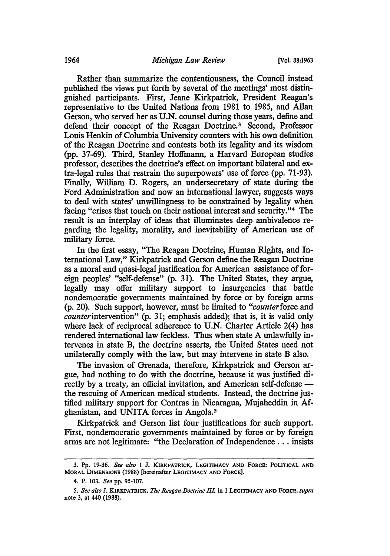Rather than summarize the contentiousness, the Council instead published the views put forth by several of the meetings' most distinguished participants. First, Jeane Kirkpatrick, President Reagan's representative to the United Nations from 1981 to 1985, and Allan Gerson, who served her as U.N. counsel during those years, define and defend their concept of the Reagan Doctrine.<sup>3</sup> Second, Professor Louis Henkin of Columbia University counters with his own definition of the Reagan Doctrine and contests both its legality and its wisdom (pp. 37-69). Third, Stanley Hoffmann, a Harvard European studies professor, describes the doctrine's effect on important bilateral and extra-legal rules that restrain the superpowers' use of force (pp. 71-93). Finally, William D. Rogers, an undersecretary of state during the Ford Administration and now an international lawyer, suggests ways to deal with states' unwillingness to be constrained by legality when facing "crises that touch on their national interest and security."4 The result is an interplay of ideas that illuminates deep ambivalence regarding the legality, morality, and inevitability of American use of military force.

In the first essay, "The Reagan Doctrine, Human Rights, and International Law," Kirkpatrick and Gerson define the Reagan Doctrine as a moral and quasi-legal justification for American assistance of foreign peoples' "self-defense" (p. 31). The United States, they argue, legally may offer military support to insurgencies that battle nondemocratic governments maintained by force or by foreign arms (p. 20). Such support, however, must be limited to *"counterforce* and *counterintervention"* (p. 31; emphasis added); that is, it is valid only where lack of reciprocal adherence to U.N. Charter Article 2(4) has rendered international law feckless. Thus when state A unlawfully intervenes in state B, the doctrine asserts, the United States need not unilaterally comply with the law, but may intervene in state B also.

The invasion of Grenada, therefore, Kirkpatrick and Gerson argue, had nothing to do with the doctrine, because it was justified directly by a treaty, an official invitation, and American self-defense the rescuing of American medical students. Instead, the doctrine justified military support for Contras in Nicaragua, Mujaheddin in Afghanistan, and UNITA forces in Angola.<sup>5</sup>

Kirkpatrick and Gerson list four justifications for such support. First, nondemocratic governments maintained by force or by foreign arms are not legitimate: "the Declaration of Independence ... insists

<sup>3.</sup> Pp. 19-36. *See also* 1 J. KIRKPATRICK, LEGITIMACY AND FORCE: POLITICAL AND MORAL DIMENSIONS (1988) [hereinafter LEGITIMACY AND FORCE].

<sup>4.</sup> P. 103. *See* pp. 95-107.

<sup>5.</sup> *See also* J. KIRKPATRICK, *The Reagan Doctrine Ill,* in 1 LEGITIMACY AND FORCE, *supra*  note 3, at 440 (1988).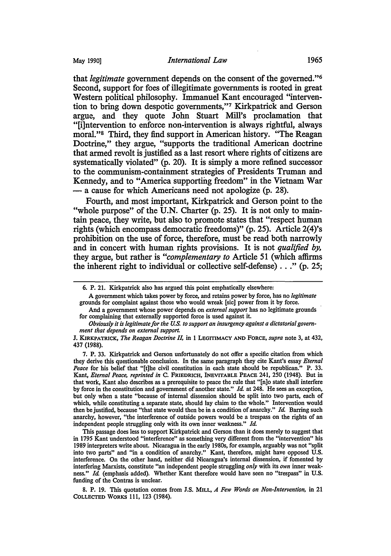that *legitimate* government depends on the consent of the govemed."6 Second, support for foes of illegitimate governments is rooted in great Western political philosophy. Immanuel Kant encouraged "intervention to bring down despotic governments,"7 Kirkpatrick and Gerson argue, and they quote John Stuart Mill's proclamation that "[i]ntervention to enforce non-intervention is always rightful, always moral."8 Third, they find support in American history. "The Reagan Doctrine," they argue, "supports the traditional American doctrine that armed revolt is justified as a last resort where rights of citizens are systematically violated" (p. 20). It is simply a more refined successor to the communism-containment strategies of Presidents Truman and Kennedy, and to "America supporting freedom" in the Vietnam War - a cause for which Americans need not apologize (p. 28).

Fourth, and most important, Kirkpatrick and Gerson point to the "whole purpose" of the U.N. Charter (p. 25). It is not only to maintain peace, they write, but also to promote states that "respect human rights (which encompass democratic freedoms)" (p. 25). Article 2(4)'s prohibition on the use of force, therefore, must be read both narrowly and in concert with human rights provisions. It is not *qualified by,*  they argue, but rather is *"complementary to* Article 51 (which affirms the inherent right to individual or collective self-defense) ... " (p. 25;

A government which takes power by force, and retains power by force, has no *legitimate*  grounds for complaint against those who would wreak [sic] power from it by force.

And a government whose power depends on *external support* has no legitimate grounds for complaining that externally supported force is used against it.

8. P. 19. This quotation comes from J.S. MILL, *A Few Words on Non-Intervention,* in 21 CoLLECTED WORKS 111, 123 (1984).

<sup>6.</sup> P. 21. Kirkpatrick also has argued this point emphatically elsewhere:

*Obviously it is legitimate for the* U.S. *to support an insurgency against a dictatorial government that depends on external support* 

J. KIRKPATRICK, *The Reagan Doctrine* ll in 1 LEGmMACY AND FORCE, *supra* note 3, at 432, 437 (1988).

<sup>7.</sup> P. 33. Kirkpatrick and Gerson unfortunately do not offer a specific citation from which they derive this questionable conclusion. In the same paragraph they cite Kant's essay *Eternal Peace* for his belief that "[t]he civil constitution in each state should be republican." P. 33. Kant, *Eternal Peace, reprinted in* c. FRIEDRICH, INEVITABLE PEACE 241, 250 (1948). But in that work, Kant also describes as a prerequisite to peace the rule that "[n]o state shall interfere by force in the constitution and government of another state." *Id.* at 248. He sees an exception, but only when a state "because of internal dissension should be split into two parts, each of which, while constituting a separate state, should lay claim to the whole." Intervention would then be justified, because "that state would then be in a condition of anarchy." *Id.* Barring such anarchy, however, "the interference of outside powers would be a trespass on the rights of an independent people struggling only with its own inner weakness." *Id.* 

This passage does less to support Kirkpatrick and Gerson than it does merely to suggest that in 1795 Kant understood "interference" as something very different from the "intervention" his 1989 interpreters write about. Nicaragua in the early 1980s, for example, arguably was not "split into two parts" and "in a condition of anarchy." Kant, therefore, might have opposed U.S. interference. On the other hand, neither did Nicaragua's internal dissension, if fomented by interfering Marxists, constitute "an independent people struggling *only* with its *own* inner weakness." *Id.* (emphasis added). Whether Kant therefore would have seen no "trespass" in U.S. funding of the Contras is unclear.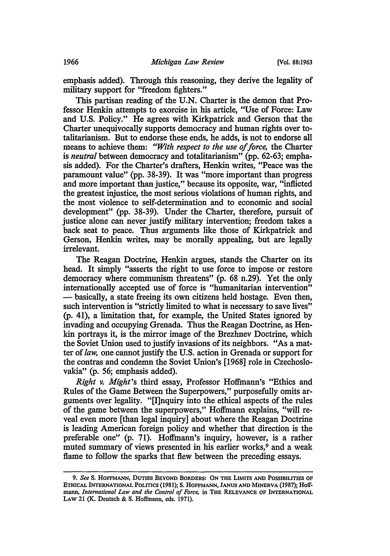emphasis added). Through this reasoning, they derive the legality of military support for "freedom fighters."

This partisan reading of the U.N. Charter is the demon that Professor Henkin attempts to exorcise in his article, "Use of Force: Law and U.S. Policy." He agrees with Kirkpatrick and Gerson that the Charter unequivocally supports democracy and human rights over totalitarianism. But to endorse these ends, he adds, is not to endorse all means to achieve them: *"With respect to the use of force,* the Charter is *neutral* between democracy and totalitarianism" (pp. 62-63; emphasis added). For the Charter's drafters, Henkin writes, "Peace was the paramount value" (pp. 38-39). It was "more important than progress and more important than justice," because its opposite, war, "inflicted the greatest injustice, the most serious violations of human rights, and the most violence to self-determination and to economic and social development" (pp. 38-39). Under the Charter, therefore, pursuit of justice alone can never justify military intervention; freedom takes a back seat to peace. Thus arguments like those of Kirkpatrick and Gerson, Henkin writes, may be morally appealing, but are legally irrelevant.

The Reagan Doctrine, Henkin argues, stands the Charter on its head. It simply "asserts the right to use force to impose or restore democracy where communism threatens" (p. 68 n.29). Yet the only internationally accepted use of force is "humanitarian intervention" - basically, a state freeing its own citizens held hostage. Even then, such intervention is "strictly limited to what is necessary to save lives" (p. 41), a limitation that, for example, the United States ignored by invading and occupying Grenada. Thus the Reagan Doctrine, as Henkin portrays it, is the mirror image of the Brezhnev Doctrine, which the Soviet Union used to justify invasions of its neighbors. "As a matter of *law,* one cannot justify the U.S. action in Grenada or support for the contras and condemn the Soviet Union's [1968] role in Czechoslovakia" (p. 56; emphasis added).

*Right v. Might's* third essay, Professor Hoffmann's "Ethics and Rules of the Game Between the Superpowers," purposefully omits arguments over legality. "[I]nquiry into the ethical aspects of the rules of the game between the superpowers," Hoffmann explains, "will reveal even more [than legal inquiry] about where the Reagan Doctrine is leading American foreign policy and whether that direction is the preferable one" (p. 71). Hoffmann's inquiry, however, is a rather muted summary of views presented in his earlier works,<sup>9</sup> and a weak flame to follow the sparks that flew between the preceding essays.

<sup>9.</sup> *See* s. HOFFMANN, DUTIES BEYOND BORDERS: ON THE LIMITS AND POSSIBILITIES OP ETHICAL INTERNATIONAL POLITICS (1981); S. HOFFMANN, JANUS AND MINERVA (1987); Hoffmann, *International Law and the Control of Force,* in THE RELEVANCE OP INTERNATIONAL LAW 21 (K. Deutsch & S. Hoffmann, eds. 1971).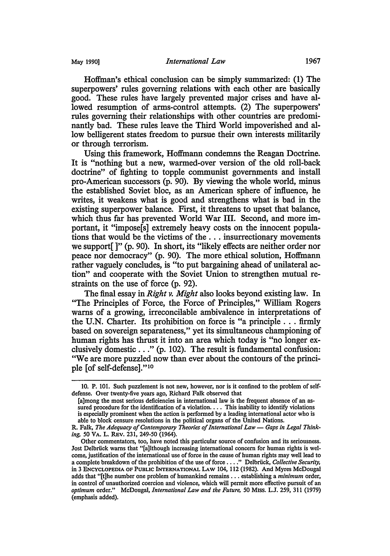Hoffman's ethical conclusion can be simply summarized: (1) The superpowers' rules governing relations with each other are basically good. These rules have largely prevented major crises and have allowed resumption of arms-control attempts. (2) The superpowers' rules governing their relationships with other countries are predominantly bad. These rules leave the Third World impoverished and allow belligerent states freedom to pursue their own interests militarily or through terrorism.

Using this framework, Hoffmann condemns the Reagan Doctrine. It is "nothing but a new, warmed-over version of the old roll-back doctrine" of fighting to topple communist governments and install pro-American successors (p. 90). By viewing the whole world, minus the established Soviet bloc, as an American sphere of influence, he writes, it weakens what is good and strengthens what is bad in the existing superpower balance. First, it threatens to upset that balance, which thus far has prevented World War III. Second, and more important, it "impose[s] extremely heavy costs on the innocent populations that would be the victims of the ... insurrectionary movements we support[ ]" (p. 90). In short, its "likely effects are neither order nor peace nor democracy" (p. 90). The more ethical solution, Hoffmann rather vaguely concludes, is "to put bargaining ahead of unilateral action" and cooperate with the Soviet Union to strengthen mutual restraints on the use of force (p. 92).

The final essay in *Right v. Might* also looks beyond existing law. In "The Principles of Force, the Force of Principles," William Rogers warns of a growing, irreconcilable ambivalence in interpretations of the U.N. Charter. Its prohibition on force is "a principle ... firmly based on sovereign separateness," yet its simultaneous championing of human rights has thrust it into an area which today is "no longer exclusively domestic ... " (p. 102). The result is fundamental confusion: "We are more puzzled now than ever about the contours of the principle [of self-defense]." <sup>10</sup>

<sup>10.</sup> P. 101. Such puzzlement is not new, however, nor is it confined to the problem of selfdefense. Over twenty-five years ago, Richard Falk observed that

<sup>[</sup>a]mong the most serious deficiencies in international law is the frequent absence of an assured procedure for the identification of a violation. . . . This inability to identify violations is especially prominent when the action is performed by a leading international actor who is able to block censure resolutions in the political organs of the United Nations.

R. Falk, The Adequacy of Contemporary Theories of International Law - Gaps in Legal Thinking, 50 VA. L. REV. 231, 249-50 (1964).

Other commentators, too, have noted this particular source of confusion and its seriousness. Jost Delbriick warns that "[a]lthough increasing international concern for human rights is welcome, justification of the international use of force in the cause of human rights may well lead to a complete breakdown of the prohibition of the use of force .... " Delbriick, *Collective Security,*  in 3 ENCYCLOPEDIA OF PUBLIC INTERNATIONAL LAW 104, 112 (1982). And Myres McDougal adds that "[t]he number one problem of humankind remains ... establishing a *minimum* order, in control of unauthorized coercion and violence, which will permit more effective pursuit of an *optimum* order." McDougal, *International Law and the Future,* 50 Miss. L.J. 259, 311 (1979) (emphasis added).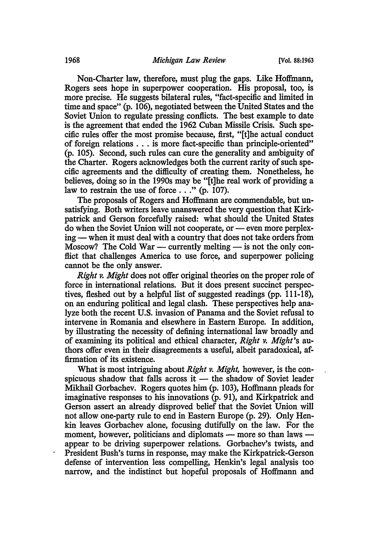Non-Charter law, therefore, must plug the gaps. Like Hoffmann, Rogers sees hope in superpower cooperation. His proposal, too, is more precise. He suggests bilateral rules, "fact-specific and limited in time and space" (p. 106), negotiated between the United States and the Soviet Union to regulate pressing conflicts. The best example to date is the agreement that ended the 1962 Cuban Missile Crisis. Such specific rules offer the most promise because, first, "[t]he actual conduct of foreign relations . . . is more fact-specific than principle-oriented" (p. 105). Second, such rules can cure the generality and ambiguity of the Charter. Rogers acknowledges both the current rarity of such specific agreements and the difficulty of creating them. Nonetheless, he believes, doing so in the 1990s may be "[t]he real work of providing a law to restrain the use of force  $\ldots$  " (p. 107).

The proposals of Rogers and Hoffmann are commendable, but unsatisfying. Both writers leave unanswered the very question that Kirkpatrick and Gerson forcefully raised: what should the United States do when the Soviet Union will not cooperate, or — even more perplexing — when it must deal with a country that does not take orders from Moscow? The Cold War — currently melting — is not the only conflict that challenges America to use force, and superpower policing cannot be the only answer.

*Right v. Might* does not offer original theories on the proper role of force in international relations. But it does present succinct perspectives, fleshed out by a helpful list of suggested readings (pp. 111-18), on an enduring political and legal clash. These perspectives help analyze both the recent U.S. invasion of Panama and the Soviet refusal to intervene in Romania and elsewhere in Eastern Europe. In addition, by illustrating the necessity of defining international law broadly and of examining its political and ethical character, *Right v. Might's* authors offer even in their disagreements a useful, albeit paradoxical, affirmation of its existence.

What is most intriguing about *Right v. Might,* however, is the conspicuous shadow that falls across it  $-$  the shadow of Soviet leader Mikhail Gorbachev. Rogers quotes him (p. 103), Hoffmann pleads for imaginative responses to his innovations (p. 91), and Kirkpatrick and Gerson assert an already disproved belief that the Soviet Union will not allow one-party rule to end in Eastern Europe (p. 29). Only Henkin leaves Gorbachev alone, focusing dutifully on the law. For the moment, however, politicians and diplomats - more so than laws appear to be driving superpower relations. Gorbachev's twists, and President Bush's turns in response, may make the Kirkpatrick-Gerson defense of intervention less compelling, Henkin's legal analysis too narrow, and the indistinct but hopeful proposals of Hoffmann and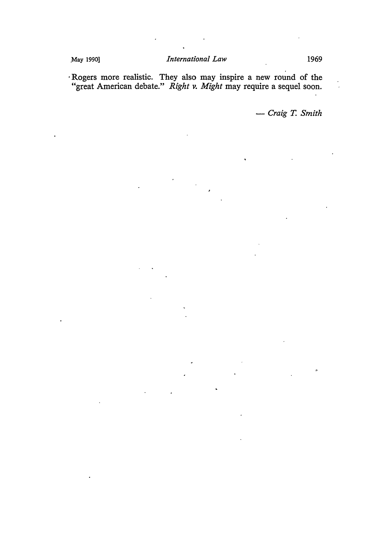· Rogers more realistic. They also may inspire a new round of the "great American debate." *Right v. Might* may require a sequel soon.

- *Craig T. Smith*